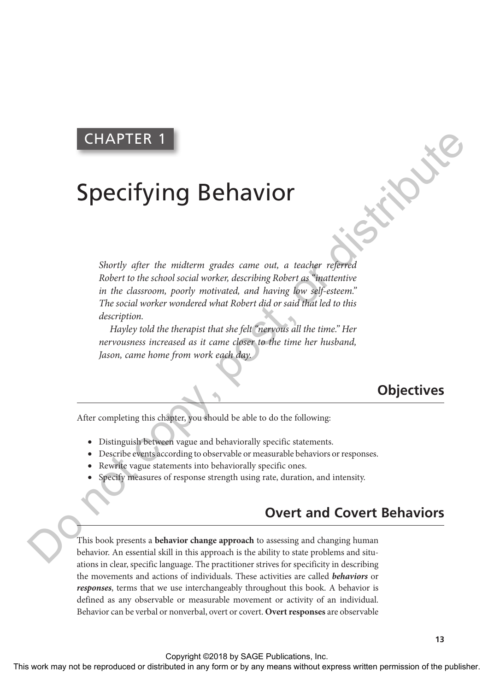## **CHAPTER**

# Specifying Behavior

*Shortly after the midterm grades came out, a teacher referred Robert to the school social worker, describing Robert as "inattentive in the classroom, poorly motivated, and having low self-esteem." The social worker wondered what Robert did or said that led to this description.* CHAPTER 1<br>
Shortly after the midderm grades came out, a teacher referred<br>
Robert to the school social worker, accretion Robert and Amering Robert and Transferred Robert and the school social worker coccircles.<br>
The social

*Hayley told the therapist that she felt "nervous all the time." Her nervousness increased as it came closer to the time her husband, Jason, came home from work each day.*

### **Objectives**

After completing this chapter, you should be able to do the following:

- •• Distinguish between vague and behaviorally specific statements.
- •• Describe events according to observable or measurable behaviors or responses.
- •• Rewrite vague statements into behaviorally specific ones.
- Specify measures of response strength using rate, duration, and intensity.

#### **Overt and Covert Behaviors**

This book presents a **behavior change approach** to assessing and changing human behavior. An essential skill in this approach is the ability to state problems and situations in clear, specific language. The practitioner strives for specificity in describing the movements and actions of individuals. These activities are called *behaviors* or *responses*, terms that we use interchangeably throughout this book. A behavior is defined as any observable or measurable movement or activity of an individual. Behavior can be verbal or nonverbal, overt or covert. **Overt responses** are observable

#### Copyright ©2018 by SAGE Publications, Inc.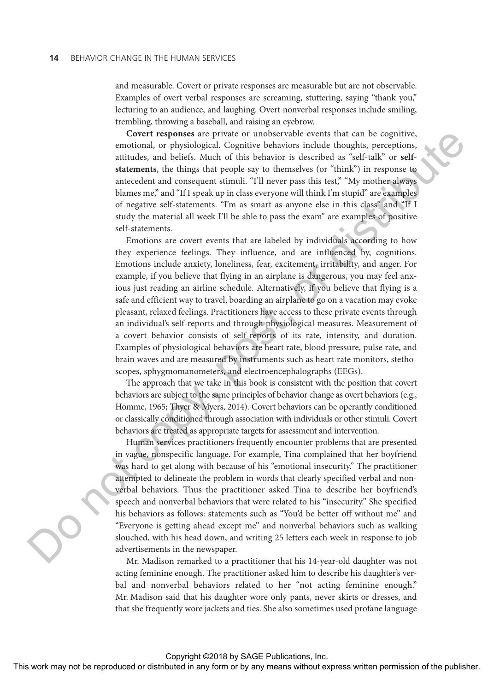and measurable. Covert or private responses are measurable but are not observable. Examples of overt verbal responses are screaming, stuttering, saying "thank you," lecturing to an audience, and laughing. Overt nonverbal responses include smiling, trembling, throwing a baseball, and raising an eyebrow.

**Covert responses** are private or unobservable events that can be cognitive, emotional, or physiological. Cognitive behaviors include thoughts, perceptions, attitudes, and beliefs. Much of this behavior is described as "self-talk" or **selfstatements**, the things that people say to themselves (or "think") in response to antecedent and consequent stimuli. "I'll never pass this test," "My mother always blames me," and "If I speak up in class everyone will think I'm stupid" are examples of negative self-statements. "I'm as smart as anyone else in this class" and "If I study the material all week I'll be able to pass the exam" are examples of positive self-statements.

Emotions are covert events that are labeled by individuals according to how they experience feelings. They influence, and are influenced by, cognitions. Emotions include anxiety, loneliness, fear, excitement, irritability, and anger. For example, if you believe that flying in an airplane is dangerous, you may feel anxious just reading an airline schedule. Alternatively, if you believe that flying is a safe and efficient way to travel, boarding an airplane to go on a vacation may evoke pleasant, relaxed feelings. Practitioners have access to these private events through an individual's self-reports and through physiological measures. Measurement of a covert behavior consists of self-reports of its rate, intensity, and duration. Examples of physiological behaviors are heart rate, blood pressure, pulse rate, and brain waves and are measured by instruments such as heart rate monitors, stethoscopes, sphygmomanometers, and electroencephalographs (EEGs). Covert septents are privident in this behavior is that as the copy<br>interaction of the state of the state of the state of the state of the<br>state of the state of the state of the state of the state state<br>means the things th

The approach that we take in this book is consistent with the position that covert behaviors are subject to the same principles of behavior change as overt behaviors (e.g., Homme, 1965; Thyer & Myers, 2014). Covert behaviors can be operantly conditioned or classically conditioned through association with individuals or other stimuli. Covert behaviors are treated as appropriate targets for assessment and intervention.

Human services practitioners frequently encounter problems that are presented in vague, nonspecific language. For example, Tina complained that her boyfriend was hard to get along with because of his "emotional insecurity." The practitioner attempted to delineate the problem in words that clearly specified verbal and nonverbal behaviors. Thus the practitioner asked Tina to describe her boyfriend's speech and nonverbal behaviors that were related to his "insecurity." She specified his behaviors as follows: statements such as "You'd be better off without me" and "Everyone is getting ahead except me" and nonverbal behaviors such as walking slouched, with his head down, and writing 25 letters each week in response to job advertisements in the newspaper.

Mr. Madison remarked to a practitioner that his 14-year-old daughter was not acting feminine enough. The practitioner asked him to describe his daughter's verbal and nonverbal behaviors related to her "not acting feminine enough." Mr. Madison said that his daughter wore only pants, never skirts or dresses, and that she frequently wore jackets and ties. She also sometimes used profane language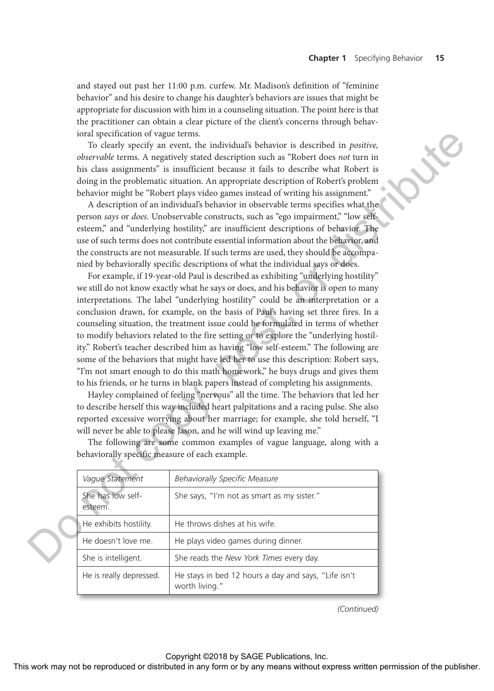and stayed out past her 11:00 p.m. curfew. Mr. Madison's definition of "feminine behavior" and his desire to change his daughter's behaviors are issues that might be appropriate for discussion with him in a counseling situation. The point here is that the practitioner can obtain a clear picture of the client's concerns through behavioral specification of vague terms.

To clearly specify an event, the individual's behavior is described in *positive, observable* terms. A negatively stated description such as "Robert does *not* turn in his class assignments" is insufficient because it fails to describe what Robert is doing in the problematic situation. An appropriate description of Robert's problem behavior might be "Robert plays video games instead of writing his assignment."

A description of an individual's behavior in observable terms specifies what the person *says* or *does.* Unobservable constructs, such as "ego impairment," "low selfesteem," and "underlying hostility," are insufficient descriptions of behavior. The use of such terms does not contribute essential information about the behavior, and the constructs are not measurable. If such terms are used, they should be accompanied by behaviorally specific descriptions of what the individual says or does.

For example, if 19-year-old Paul is described as exhibiting "underlying hostility" we still do not know exactly what he says or does, and his behavior is open to many interpretations. The label "underlying hostility" could be an interpretation or a conclusion drawn, for example, on the basis of Paul's having set three fires. In a counseling situation, the treatment issue could be formulated in terms of whether to modify behaviors related to the fire setting or to explore the "underlying hostility." Robert's teacher described him as having "low self-esteem." The following are some of the behaviors that might have led her to use this description: Robert says, "I'm not smart enough to do this math homework," he buys drugs and gives them to his friends, or he turns in blank papers instead of completing his assignments. ion specification of vague terms.<br>
To clearly specification in distributed decoration is described in positive,<br>  $\frac{1}{2}$  or distributed by state that the control is insulficient because it finds to describe what Robert

Hayley complained of feeling "nervous" all the time. The behaviors that led her to describe herself this way included heart palpitations and a racing pulse. She also reported excessive worrying about her marriage; for example, she told herself, "I will never be able to please Jason, and he will wind up leaving me."

| Vaque Statement              | <b>Behaviorally Specific Measure</b>                                   |
|------------------------------|------------------------------------------------------------------------|
| She has low self-<br>esteem. | She says, "I'm not as smart as my sister."                             |
| He exhibits hostility.       | He throws dishes at his wife.                                          |
| He doesn't love me.          | He plays video games during dinner.                                    |
| She is intelligent.          | She reads the New York Times every day.                                |
| He is really depressed.      | He stays in bed 12 hours a day and says, "Life isn't<br>worth living." |

The following are some common examples of vague language, along with a behaviorally specific measure of each example.

*(Continued)*

Copyright ©2018 by SAGE Publications, Inc.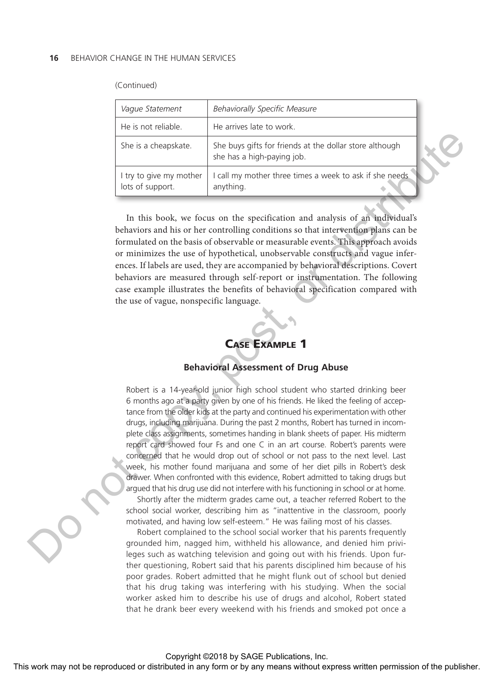#### **16** BEHAVIOR CHANGE IN THE HUMAN SERVICES

(Continued)

| Vague Statement                             | <b>Behaviorally Specific Measure</b>                                                  |  |
|---------------------------------------------|---------------------------------------------------------------------------------------|--|
| He is not reliable.                         | He arrives late to work.                                                              |  |
| She is a cheapskate.                        | She buys gifts for friends at the dollar store although<br>she has a high-paying job. |  |
| I try to give my mother<br>lots of support. | I call my mother three times a week to ask if she needs<br>anything.                  |  |

In this book, we focus on the specification and analysis of an individual's behaviors and his or her controlling conditions so that intervention plans can be formulated on the basis of observable or measurable events. This approach avoids or minimizes the use of hypothetical, unobservable constructs and vague inferences. If labels are used, they are accompanied by behavioral descriptions. Covert behaviors are measured through self-report or instrumentation. The following case example illustrates the benefits of behavioral specification compared with the use of vague, nonspecific language.

Case Example 1

#### **Behavioral Assessment of Drug Abuse**

Robert is a 14-year-old junior high school student who started drinking beer 6 months ago at a party given by one of his friends. He liked the feeling of acceptance from the older kids at the party and continued his experimentation with other drugs, including marijuana. During the past 2 months, Robert has turned in incomplete class assignments, sometimes handing in blank sheets of paper. His midterm report card showed four Fs and one C in an art course. Robert's parents were concerned that he would drop out of school or not pass to the next level. Last week, his mother found marijuana and some of her diet pills in Robert's desk drawer. When confronted with this evidence, Robert admitted to taking drugs but argued that his drug use did not interfere with his functioning in school or at home. Shortly after the midterm grades came out, a teacher referred Robert to the school social worker, describing him as "inattentive in the classroom, poorly motivated, and having low self-esteem." He was failing most of his classes. She is a chapachere.<br>
The is a chapachere and the propagation of the set of the set of the set of the set of the set of the set of the set of the set of the set of the set of the set of the set of the set of the set of th

Robert complained to the school social worker that his parents frequently grounded him, nagged him, withheld his allowance, and denied him privileges such as watching television and going out with his friends. Upon further questioning, Robert said that his parents disciplined him because of his poor grades. Robert admitted that he might flunk out of school but denied that his drug taking was interfering with his studying. When the social worker asked him to describe his use of drugs and alcohol, Robert stated that he drank beer every weekend with his friends and smoked pot once a

#### Copyright ©2018 by SAGE Publications, Inc.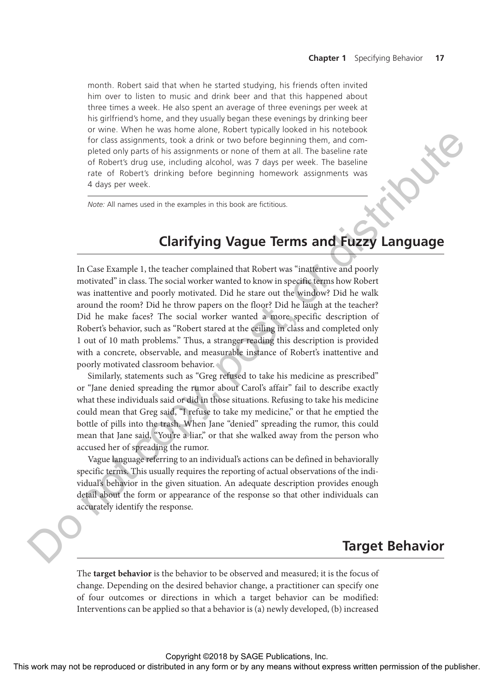month. Robert said that when he started studying, his friends often invited him over to listen to music and drink beer and that this happened about three times a week. He also spent an average of three evenings per week at his girlfriend's home, and they usually began these evenings by drinking beer or wine. When he was home alone, Robert typically looked in his notebook for class assignments, took a drink or two before beginning them, and completed only parts of his assignments or none of them at all. The baseline rate of Robert's drug use, including alcohol, was 7 days per week. The baseline rate of Robert's drinking before beginning homework assignments was 4 days per week.

*Note:* All names used in the examples in this book are fictitious.

# **Clarifying Vague Terms and Fuzzy Language**

In Case Example 1, the teacher complained that Robert was "inattentive and poorly motivated" in class. The social worker wanted to know in specific terms how Robert was inattentive and poorly motivated. Did he stare out the window? Did he walk around the room? Did he throw papers on the floor? Did he laugh at the teacher? Did he make faces? The social worker wanted a more specific description of Robert's behavior, such as "Robert stared at the ceiling in class and completed only 1 out of 10 math problems." Thus, a stranger reading this description is provided with a concrete, observable, and measurable instance of Robert's inattentive and poorly motivated classroom behavior. for each steep means that contains the contains and the mean of the mean of the sign means of the sign means of the sign means of the sign means of the sign of the sign means of the sign of the sign of the sign of the sig

Similarly, statements such as "Greg refused to take his medicine as prescribed" or "Jane denied spreading the rumor about Carol's affair" fail to describe exactly what these individuals said or did in those situations. Refusing to take his medicine could mean that Greg said, "I refuse to take my medicine," or that he emptied the bottle of pills into the trash. When Jane "denied" spreading the rumor, this could mean that Jane said, "You're a liar," or that she walked away from the person who accused her of spreading the rumor.

Vague language referring to an individual's actions can be defined in behaviorally specific terms. This usually requires the reporting of actual observations of the individual's behavior in the given situation. An adequate description provides enough detail about the form or appearance of the response so that other individuals can accurately identify the response.

### **Target Behavior**

The **target behavior** is the behavior to be observed and measured; it is the focus of change. Depending on the desired behavior change, a practitioner can specify one of four outcomes or directions in which a target behavior can be modified: Interventions can be applied so that a behavior is (a) newly developed, (b) increased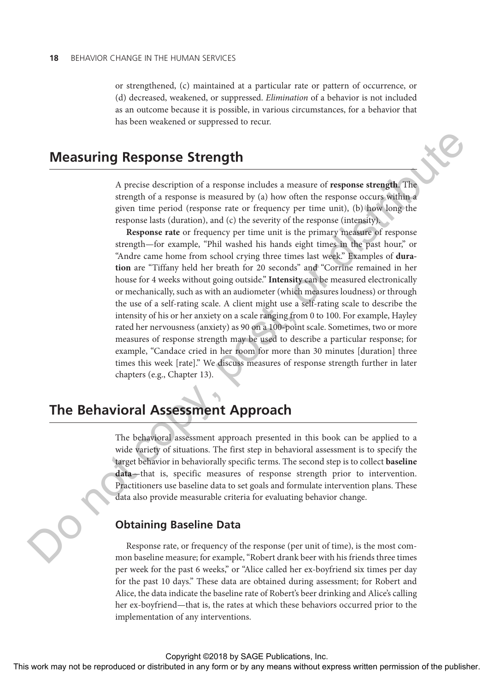or strengthened, (c) maintained at a particular rate or pattern of occurrence, or (d) decreased, weakened, or suppressed. *Elimination* of a behavior is not included as an outcome because it is possible, in various circumstances, for a behavior that has been weakened or suppressed to recur.

### **Measuring Response Strength**

A precise description of a response includes a measure of **response strength**. The strength of a response is measured by (a) how often the response occurs within a given time period (response rate or frequency per time unit), (b) how long the response lasts (duration), and (c) the severity of the response (intensity).

**Response rate** or frequency per time unit is the primary measure of response strength—for example, "Phil washed his hands eight times in the past hour," or "Andre came home from school crying three times last week." Examples of **duration** are "Tiffany held her breath for 20 seconds" and "Corrine remained in her house for 4 weeks without going outside." **Intensity** can be measured electronically or mechanically, such as with an audiometer (which measures loudness) or through the use of a self-rating scale. A client might use a self-rating scale to describe the intensity of his or her anxiety on a scale ranging from 0 to 100. For example, Hayley rated her nervousness (anxiety) as 90 on a 100-point scale. Sometimes, two or more measures of response strength may be used to describe a particular response; for example, "Candace cried in her room for more than 30 minutes [duration] three times this week [rate]." We discuss measures of response strength further in later chapters (e.g., Chapter 13). **Measuring Response Strength**<br>
A precise description of a response inducles a measure of response strength  $\pi$ <br>
strength of a response is measured by (a) buvo often the response cocars studing<br>
given time period (equotio

### **The Behavioral Assessment Approach**

The behavioral assessment approach presented in this book can be applied to a wide variety of situations. The first step in behavioral assessment is to specify the target behavior in behaviorally specific terms. The second step is to collect **baseline data**—that is, specific measures of response strength prior to intervention. Practitioners use baseline data to set goals and formulate intervention plans. These data also provide measurable criteria for evaluating behavior change.

#### **Obtaining Baseline Data**

Response rate, or frequency of the response (per unit of time), is the most common baseline measure; for example, "Robert drank beer with his friends three times per week for the past 6 weeks," or "Alice called her ex-boyfriend six times per day for the past 10 days." These data are obtained during assessment; for Robert and Alice, the data indicate the baseline rate of Robert's beer drinking and Alice's calling her ex-boyfriend—that is, the rates at which these behaviors occurred prior to the implementation of any interventions.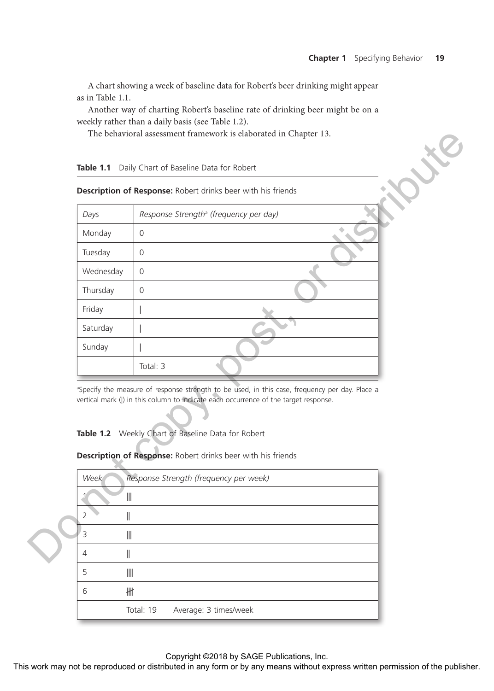A chart showing a week of baseline data for Robert's beer drinking might appear as in Table 1.1.

Another way of charting Robert's baseline rate of drinking beer might be on a weekly rather than a daily basis (see Table 1.2).

The behavioral assessment framework is elaborated in Chapter 13.

|                               | The behavioral assessment framework is elaborated in Chapter 13.                                                                                                                                                                                         |
|-------------------------------|----------------------------------------------------------------------------------------------------------------------------------------------------------------------------------------------------------------------------------------------------------|
| Table 1.1                     | Daily Chart of Baseline Data for Robert                                                                                                                                                                                                                  |
|                               | Description of Response: Robert drinks beer with his friends                                                                                                                                                                                             |
| Days                          | Response Strength <sup>ª</sup> (frequency per day)                                                                                                                                                                                                       |
| Monday                        | $\mathsf{O}\xspace$                                                                                                                                                                                                                                      |
| Tuesday                       | $\mathsf{O}\xspace$                                                                                                                                                                                                                                      |
| Wednesday                     | $\mathsf{O}$                                                                                                                                                                                                                                             |
| Thursday                      | $\mathsf{O}\xspace$                                                                                                                                                                                                                                      |
| Friday                        |                                                                                                                                                                                                                                                          |
| Saturday                      |                                                                                                                                                                                                                                                          |
| Sunday                        |                                                                                                                                                                                                                                                          |
|                               | Total: 3                                                                                                                                                                                                                                                 |
|                               | <sup>a</sup> Specify the measure of response strength to be used, in this case, frequency per day. Place a<br>vertical mark ( ) in this column to indicate each occurrence of the target response.<br>Table 1.2 Weekly Chart of Baseline Data for Robert |
|                               | Description of Response: Robert drinks beer with his friends                                                                                                                                                                                             |
| Week                          | Response Strength (frequency per week)                                                                                                                                                                                                                   |
|                               |                                                                                                                                                                                                                                                          |
| $\overline{2}$<br>$\parallel$ |                                                                                                                                                                                                                                                          |
| 3                             | $\parallel \parallel$                                                                                                                                                                                                                                    |
| 4<br>$\label{eq:1} \bigsqcup$ |                                                                                                                                                                                                                                                          |
|                               |                                                                                                                                                                                                                                                          |

|  | Week | Response Strength (frequency per week) |
|--|------|----------------------------------------|
|  |      | Ⅲ                                      |
|  | 7    |                                        |
|  | 3    | $\begin{array}{c}    \end{array}$      |
|  | 4    |                                        |
|  | 5    |                                        |
|  | 6    | 卌                                      |
|  |      | Total: 19<br>Average: 3 times/week     |

Copyright ©2018 by SAGE Publications, Inc.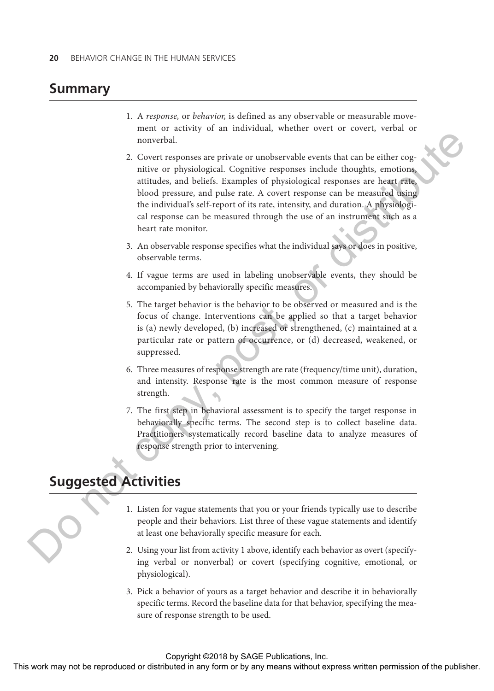### **Summary**

- 1. A *response,* or *behavior,* is defined as any observable or measurable movement or activity of an individual, whether overt or covert, verbal or nonverbal.
- 2. Covert responses are private or unobservable events that can be either cognitive or physiological. Cognitive responses include thoughts, emotions, attitudes, and beliefs. Examples of physiological responses are heart rate, blood pressure, and pulse rate. A covert response can be measured using the individual's self-report of its rate, intensity, and duration. A physiological response can be measured through the use of an instrument such as a heart rate monitor. monwerbal.<br>
2. Covert responses are private or unobservable events that can be either considerative more private or physiological. Cognitive responses include thoughts, emotions, and be compared to provide the material re
	- 3. An observable response specifies what the individual says or does in positive, observable terms.
	- 4. If vague terms are used in labeling unobservable events, they should be accompanied by behaviorally specific measures.
	- 5. The target behavior is the behavior to be observed or measured and is the focus of change. Interventions can be applied so that a target behavior is (a) newly developed, (b) increased or strengthened, (c) maintained at a particular rate or pattern of occurrence, or (d) decreased, weakened, or suppressed.
	- 6. Three measures of response strength are rate (frequency/time unit), duration, and intensity. Response rate is the most common measure of response strength.
	- 7. The first step in behavioral assessment is to specify the target response in behaviorally specific terms. The second step is to collect baseline data. Practitioners systematically record baseline data to analyze measures of response strength prior to intervening.

# **Suggested Activities**

- 1. Listen for vague statements that you or your friends typically use to describe people and their behaviors. List three of these vague statements and identify at least one behaviorally specific measure for each.
- 2. Using your list from activity 1 above, identify each behavior as overt (specifying verbal or nonverbal) or covert (specifying cognitive, emotional, or physiological).
- 3. Pick a behavior of yours as a target behavior and describe it in behaviorally specific terms. Record the baseline data for that behavior, specifying the measure of response strength to be used.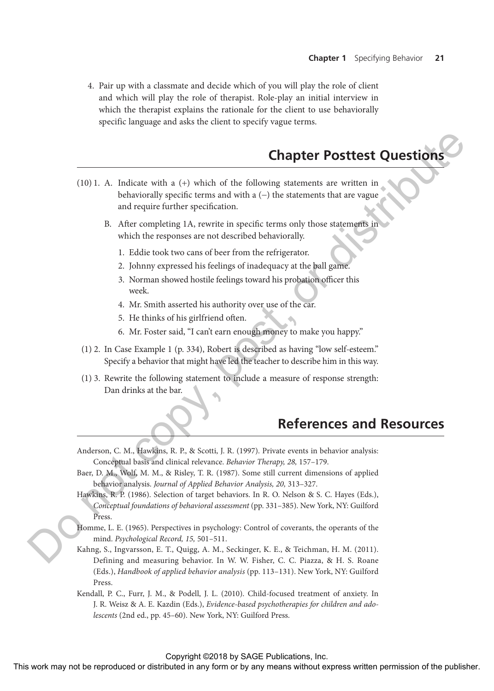4. Pair up with a classmate and decide which of you will play the role of client and which will play the role of therapist. Role-play an initial interview in which the therapist explains the rationale for the client to use behaviorally specific language and asks the client to specify vague terms.

# **Chapter Posttest Questions**

- (10) 1. A. Indicate with a (+) which of the following statements are written in behaviorally specific terms and with a (−) the statements that are vague and require further specification. **CALC**<br>
(10) 1. A. Indicate with a (+) which of the following statements are written in<br>
behaviorally specific terms and with a (-) the statements that are vague<br>
and require in the completion particular in a positic term
	- B. After completing 1A, rewrite in specific terms only those statements in which the responses are not described behaviorally.
		- 1. Eddie took two cans of beer from the refrigerator.
		- 2. Johnny expressed his feelings of inadequacy at the ball game.
		- 3. Norman showed hostile feelings toward his probation officer this week.
		- 4. Mr. Smith asserted his authority over use of the car.
		- 5. He thinks of his girlfriend often.
		- 6. Mr. Foster said, "I can't earn enough money to make you happy."
	- (1) 2. In Case Example 1 (p. 334), Robert is described as having "low self-esteem." Specify a behavior that might have led the teacher to describe him in this way.
	- (1) 3. Rewrite the following statement to include a measure of response strength: Dan drinks at the bar.

#### **References and Resources**

- Anderson, C. M., Hawkins, R. P., & Scotti, J. R. (1997). Private events in behavior analysis: Conceptual basis and clinical relevance. *Behavior Therapy, 28,* 157–179.
- Baer, D. M., Wolf, M. M., & Risley, T. R. (1987). Some still current dimensions of applied behavior analysis. *Journal of Applied Behavior Analysis, 20,* 313–327.
- Hawkins, R. P. (1986). Selection of target behaviors. In R. O. Nelson & S. C. Hayes (Eds.), *Conceptual foundations of behavioral assessment* (pp. 331–385). New York, NY: Guilford Press.
- Homme, L. E. (1965). Perspectives in psychology: Control of coverants, the operants of the mind. *Psychological Record, 15,* 501–511.
- Kahng, S., Ingvarsson, E. T., Quigg, A. M., Seckinger, K. E., & Teichman, H. M. (2011). Defining and measuring behavior. In W. W. Fisher, C. C. Piazza, & H. S. Roane (Eds.), *Handbook of applied behavior analysis* (pp. 113–131). New York, NY: Guilford Press.
- Kendall, P. C., Furr, J. M., & Podell, J. L. (2010). Child-focused treatment of anxiety. In J. R. Weisz & A. E. Kazdin (Eds.), *Evidence-based psychotherapies for children and adolescents* (2nd ed., pp. 45–60). New York, NY: Guilford Press.